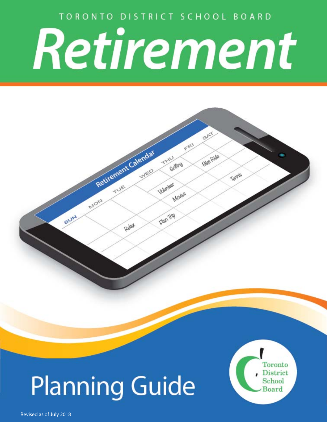TORONTO DISTRICT SCHOOL BOARD

# Retirement

 $55$ 

**Bike Ride** 

Terris

 $\xi^{\beta}$ 

THIU Golfing

Volumber

**Plan** Trip

Mojes

# **Planning Guide**

Retirement Calendar

Relat

MON

SUN

Toronto **District** School Board

Revised as of July 2018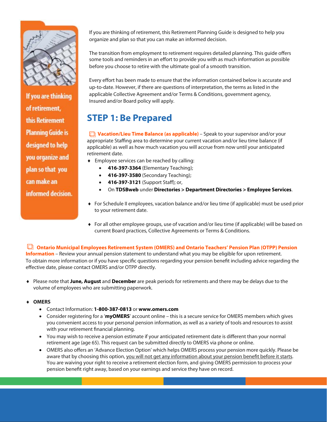

If you are thinking of retirement, this Retirement **Planning Guide is** designed to help you organize and plan so that you can make an informed decision.

If you are thinking of retirement, this Retirement Planning Guide is designed to help you organize and plan so that you can make an informed decision.

The transition from employment to retirement requires detailed planning. This guide offers some tools and reminders in an effort to provide you with as much information as possible before you choose to retire with the ultimate goal of a smooth transition.

Every effort has been made to ensure that the information contained below is accurate and up-to-date. However, if there are questions of interpretation, the terms as listed in the applicable Collective Agreement and/or Terms & Conditions, government agency, Insured and/or Board policy will apply.

## **STEP 1: Be Prepared**

*□* Vacation/Lieu Time Balance (as applicable) – Speak to your supervisor and/or your appropriate Staffing area to determine your current vacation and/or lieu time balance (if applicable) as well as how much vacation you will accrue from now until your anticipated retirement date.

- Employee services can be reached by calling:
	- **416-397-3364** (Elementary Teaching);
	- **416-397-3580** (Secondary Teaching);
	- **416-397-3121** (Support Staff); or,
	- On **TDSBweb** under **Directories > Department Directories > Employee Services**.
- For Schedule II employees, vacation balance and/or lieu time (if applicable) must be used prior to your retirement date.
- For all other employee groups, use of vacation and/or lieu time (if applicable) will be based on current Board practices, Collective Agreements or Terms & Conditions.

#### **Ontario Municipal Employees Retirement System (OMERS) and Ontario Teachers' Pension Plan (OTPP) Pension**

**Information** – Review your annual pension statement to understand what you may be eligible for upon retirement. To obtain more information or if you have specific questions regarding your pension benefit including advice regarding the effective date, please contact OMERS and/or OTPP directly.

 Please note that **June, August** and **December** are peak periods for retirements and there may be delays due to the volume of employees who are submitting paperwork.

#### **OMERS**

- Contact Information: **1-800-387-0813** or **www.omers.com**
- Consider registering for a '**myOMERS**' account online this is a secure service for OMERS members which gives you convenient access to your personal pension information, as well as a variety of tools and resources to assist with your retirement financial planning.
- You may wish to receive a pension estimate if your anticipated retirement date is different than your normal retirement age (age 65). This request can be submitted directly to OMERS via phone or online.
- OMERS also offers an 'Advance Election Option' which helps OMERS process your pension more quickly. Please be aware that by choosing this option, you will not get any information about your pension benefit before it starts. You are waiving your right to receive a retirement election form, and giving OMERS permission to process your pension benefit right away, based on your earnings and service they have on record.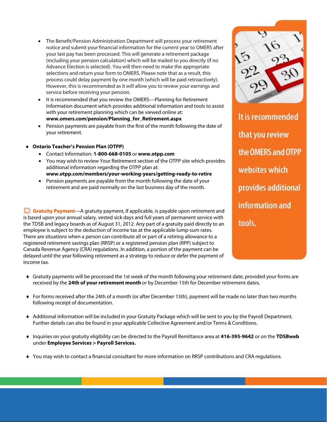- The Benefit/Pension Administration Department will process your retirement notice and submit your financial information for the current year to OMERS after your last pay has been processed. This will generate a retirement package (including your pension calculation) which will be mailed to you directly (if no Advance Election is selected). You will then need to make the appropriate selections and return your form to OMERS. Please note that as a result, this process could delay payment by one month (which will be paid retroactively). However, this is recommended as it will allow you to review your earnings and service before receiving your pension.
- It is recommended that you review the OMERS—Planning for Retirement Information document which provides additional information and tools to assist with your retirement planning which can be viewed online at: **www.omers.com/pension/Planning\_for\_Retirement.aspx**
- Pension payments are payable from the first of the month following the date of your retirement.
- **Ontario Teacher's Pension Plan (OTPP)** 
	- Contact Information: **1-800-668-0105** or **www.otpp.com**
	- You may wish to review Your Retirement section of the OTPP site which provides additional information regarding the OTPP plan at: **www.otpp.com/members/your-working-years/getting-ready-to-retire**
	- Pension payments are payable from the month following the date of your retirement and are paid normally on the last business day of the month.

**Gratuity Payment**—A gratuity payment, if applicable, is payable upon retirement and is based upon your annual salary, vested sick days and full years of permanent service with the TDSB and legacy boards as of August 31, 2012. Any part of a gratuity paid directly to an employee is subject to the deduction of income tax at the applicable lump-sum rates. There are situations when a person can contribute all or part of a retiring allowance to a registered retirement savings plan (RRSP) or a registered pension plan (RPP) subject to Canada Revenue Agency (CRA) regulations. In addition, a portion of the payment can be delayed until the year following retirement as a strategy to reduce or defer the payment of income tax.

It is recommended that you review the OMERS and OTPP websites which provides additional information and tools.

- Gratuity payments will be processed the 1st week of the month following your retirement date, provided your forms are received by the **24th of your retirement month** or by December 15th for December retirement dates.
- For forms received after the 24th of a month (or after December 15th), payment will be made no later than two months following receipt of documentation.
- Additional information will be included in your Gratuity Package which will be sent to you by the Payroll Department. Further details can also be found in your applicable Collective Agreement and/or Terms & Conditions.
- Inquiries on your gratuity eligibility can be directed to the Payroll Remittance area at **416-395-9642** or on the **TDSBweb** under **Employee Services > Payroll Services.**
- You may wish to contact a financial consultant for more information on RRSP contributions and CRA regulations.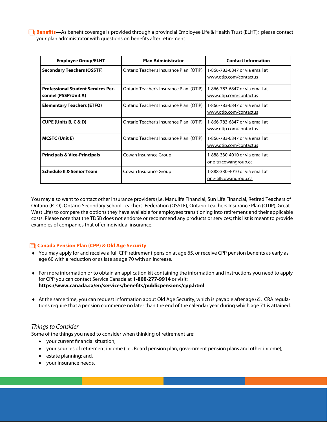$\Box$  **Benefits—**As benefit coverage is provided through a provincial Employee Life & Health Trust (ELHT); please contact your plan administrator with questions on benefits after retirement.

| <b>Employee Group/ELHT</b>                                        | <b>Plan Administrator</b>               | <b>Contact Information</b>                               |
|-------------------------------------------------------------------|-----------------------------------------|----------------------------------------------------------|
| <b>Secondary Teachers (OSSTF)</b>                                 | Ontario Teacher's Insurance Plan (OTIP) | 1-866-783-6847 or via email at<br>www.otip.com/contactus |
| <b>Professional Student Services Per-</b><br>sonnel (PSSP/Unit A) | Ontario Teacher's Insurance Plan (OTIP) | 1-866-783-6847 or via email at<br>www.otip.com/contactus |
| <b>Elementary Teachers (ETFO)</b>                                 | Ontario Teacher's Insurance Plan (OTIP) | 1-866-783-6847 or via email at<br>www.otip.com/contactus |
| <b>CUPE (Units B, C &amp; D)</b>                                  | Ontario Teacher's Insurance Plan (OTIP) | 1-866-783-6847 or via email at<br>www.otip.com/contactus |
| <b>MCSTC (Unit E)</b>                                             | Ontario Teacher's Insurance Plan (OTIP) | 1-866-783-6847 or via email at<br>www.otip.com/contactus |
| <b>Principals &amp; Vice-Principals</b>                           | Cowan Insurance Group                   | 1-888-330-4010 or via email at<br>one-t@cowangroup.ca    |
| <b>Schedule II &amp; Senior Team</b>                              | Cowan Insurance Group                   | 1-888-330-4010 or via email at<br>one-t@cowangroup.ca    |

You may also want to contact other insurance providers (i.e. Manulife Financial, Sun Life Financial, Retired Teachers of Ontario (RTO), Ontario Secondary School Teachers' Federation (OSSTF), Ontario Teachers Insurance Plan (OTIP), Great West Life) to compare the options they have available for employees transitioning into retirement and their applicable costs. Please note that the TDSB does not endorse or recommend any products or services; this list is meant to provide examples of companies that offer individual insurance.

#### **Canada Pension Plan (CPP) & Old Age Security**

- You may apply for and receive a full CPP retirement pension at age 65, or receive CPP pension benefits as early as age 60 with a reduction or as late as age 70 with an increase.
- For more information or to obtain an application kit containing the information and instructions you need to apply for CPP you can contact Service Canada at **1-800-277-9914** or visit: **https://www.canada.ca/en/services/benefits/publicpensions/cpp.html**
- At the same time, you can request information about Old Age Security, which is payable after age 65. CRA regulations require that a pension commence no later than the end of the calendar year during which age 71 is attained.

#### Things to Consider

Some of the things you need to consider when thinking of retirement are:

- your current financial situation;
- your sources of retirement income (i.e., Board pension plan, government pension plans and other income);
- $\bullet$  estate planning; and,
- your insurance needs.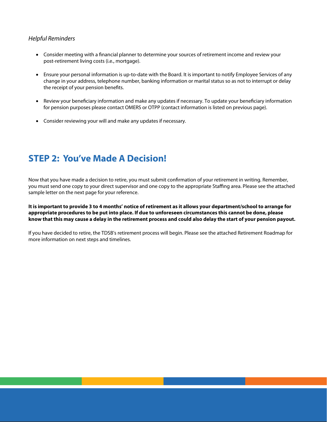#### Helpful Reminders

- Consider meeting with a financial planner to determine your sources of retirement income and review your post-retirement living costs (i.e., mortgage).
- Ensure your personal information is up-to-date with the Board. It is important to notify Employee Services of any change in your address, telephone number, banking information or marital status so as not to interrupt or delay the receipt of your pension benefits.
- Review your beneficiary information and make any updates if necessary. To update your beneficiary information for pension purposes please contact OMERS or OTPP (contact information is listed on previous page).
- Consider reviewing your will and make any updates if necessary.

### **STEP 2: You've Made A Decision!**

Now that you have made a decision to retire, you must submit confirmation of your retirement in writing. Remember, you must send one copy to your direct supervisor and one copy to the appropriate Staffing area. Please see the attached sample letter on the next page for your reference.

**It is important to provide 3 to 4 months' notice of retirement as it allows your department/school to arrange for appropriate procedures to be put into place. If due to unforeseen circumstances this cannot be done, please know that this may cause a delay in the retirement process and could also delay the start of your pension payout.** 

If you have decided to retire, the TDSB's retirement process will begin. Please see the attached Retirement Roadmap for more information on next steps and timelines.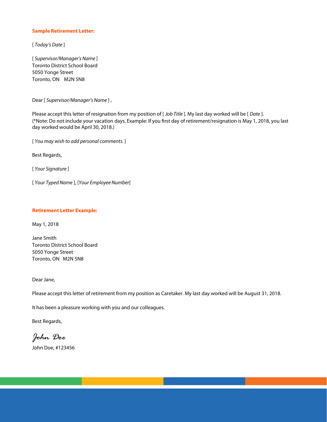#### **Sample Retirement Letter:**

[ Today's Date ]

[ Supervisor/Manager's Name ] Toronto District School Board 5050 Yonge Street Toronto, ON M2N 5N8

Dear [ Supervisor/Manager's Name ] ,

Please accept this letter of resignation from my position of [Job Title]. My last day worked will be [Date]. (\*Note: Do not include your vacation days. Example: If you first day of retirement/resignation is May 1, 2018, you last day worked would be April 30, 2018.)

[ You may wish to add personal comments.]

Best Regards,

[ Your Signature ]

[ Your Typed Name ], [Your Employee Number]

#### **Retirement Letter Example:**

May 1, 2018

Jane Smith Toronto District School Board 5050 Yonge Street Toronto, ON M2N 5N8

Dear Jane,

Please accept this letter of retirement from my position as Caretaker. My last day worked will be August 31, 2018.

It has been a pleasure working with you and our colleagues.

Best Regards,

*John Doe*

John Doe, #123456